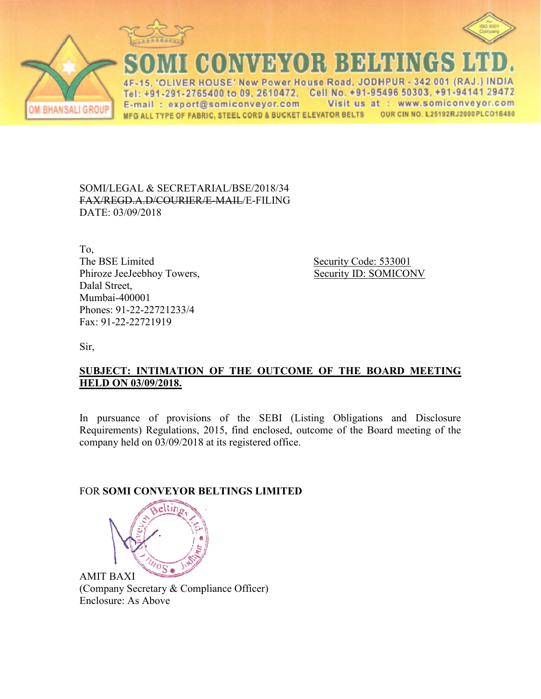



**CONVEYOR BELTINGS I VER HOUSE' New Power House Road, JODHPUR - 342 001 (RAJ**  $\Lambda$ E Tel: +91-291-2765400 to 09, 2610472, Cell No. +91-95496 50303, +91-94141 29472 Visit us at : www.somiconveyor.com E-mail: export@somiconveyor.com OUR CIN NO. L25192RJ2000PLCO16480 MFG ALL TYPE OF FABRIC, STEEL CORD & BUCKET ELEVATOR BELTS

SOMI/LEGAL & SECRETARIAL/BSE/2018/34 FAX/REGD.A.D/COURIER/E-MAIL/E-FILING DATE: 03/09/2018

To, The BSE Limited Phiroze JeeJeebhoy Towers, Dalal Street, Mumbai-400001 Phones: 91-22-22721233/4 Fax: 91-22-22721919

 Security Code: 533001 Example 1 Security Code: 533001<br>Security ID: SOMICONV

Sir,

## **SUBJECT: INTIMATION OF THE OUTCOME OF THE BOARD MEETING HELD ON 03/09/2018.**

In pursuance of provisions of the SEBI (Listing Obligations and Disclosure Requirements) Regulations, 2015, find enclosed, outcome of the Board meeting of the company held on 03/09/2018 8 at its registered office.

## FOR **SOMI CONVEYOR BE BELTINGS LIMITED**



AMIT BAXI (Company Secretary & Compliance Officer) Enclosure: As Above